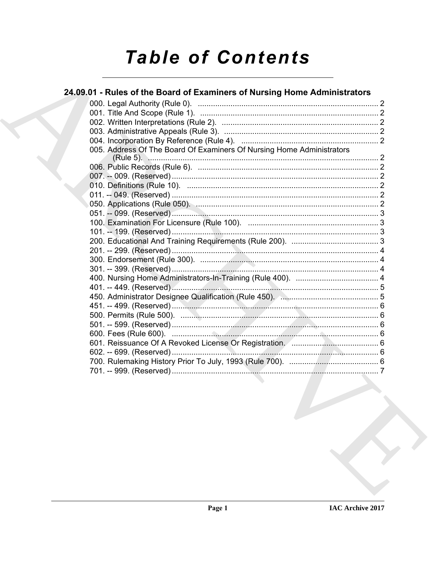# **Table of Contents**

### 24.09.01 - Rules of the Board of Examiners of Nursing Home Administrators 005. Address Of The Board Of Examiners Of Nursing Home Administrators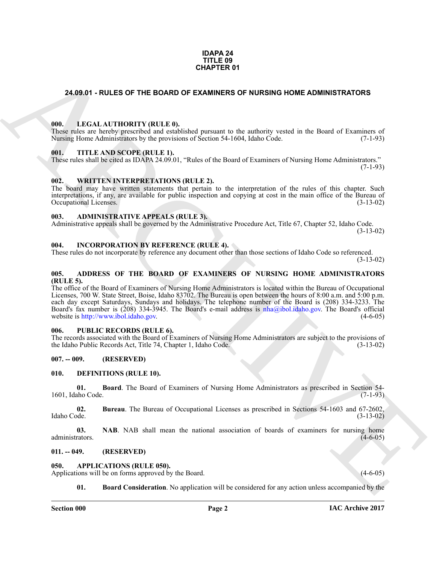#### **IDAPA 24 TITLE 09 CHAPTER 01**

#### <span id="page-1-0"></span>**24.09.01 - RULES OF THE BOARD OF EXAMINERS OF NURSING HOME ADMINISTRATORS**

#### <span id="page-1-1"></span>**000. LEGAL AUTHORITY (RULE 0).**

These rules are hereby prescribed and established pursuant to the authority vested in the Board of Examiners of Nursing Home Administrators by the provisions of Section 54-1604, Idaho Code. (7-1-93)

#### <span id="page-1-2"></span>**001. TITLE AND SCOPE (RULE 1).**

These rules shall be cited as IDAPA 24.09.01, "Rules of the Board of Examiners of Nursing Home Administrators."  $(7-1-93)$ 

#### <span id="page-1-3"></span>**002. WRITTEN INTERPRETATIONS (RULE 2).**

The board may have written statements that pertain to the interpretation of the rules of this chapter. Such interpretations, if any, are available for public inspection and copying at cost in the main office of the Bureau of Occupational Licenses. (3-13-02) Occupational Licenses.

#### <span id="page-1-4"></span>**003. ADMINISTRATIVE APPEALS (RULE 3).**

Administrative appeals shall be governed by the Administrative Procedure Act, Title 67, Chapter 52, Idaho Code. (3-13-02)

#### <span id="page-1-5"></span>**004. INCORPORATION BY REFERENCE (RULE 4).**

These rules do not incorporate by reference any document other than those sections of Idaho Code so referenced. (3-13-02)

#### <span id="page-1-6"></span>**005. ADDRESS OF THE BOARD OF EXAMINERS OF NURSING HOME ADMINISTRATORS (RULE 5).**

**CHAPTER 01**<br>
24.09.01 - RULES OF THE BOARD OF EXAMINERS OF NURSING HOME ADMINISTRATORS<br>
1991. LECAL ALTITORITY (RULE B)<br>
1992. TITLE AND SCOPE (RULE B).<br>
1993. And 13 de technique of School Science of School Science of S The office of the Board of Examiners of Nursing Home Administrators is located within the Bureau of Occupational Licenses, 700 W. State Street, Boise, Idaho 83702. The Bureau is open between the hours of 8:00 a.m. and 5:00 p.m. each day except Saturdays, Sundays and holidays. The telephone number of the Board is (208) 334-3233. The Board's fax number is (208) 334-3945. The Board's e-mail address is nha@ibol.idaho.gov. The Board's official website is http://www.ibol.idaho.gov. (4-6-05) website is http://www.ibol.idaho.gov.

#### <span id="page-1-7"></span>**006. PUBLIC RECORDS (RULE 6).**

The records associated with the Board of Examiners of Nursing Home Administrators are subject to the provisions of the Idaho Public Records Act, Title 74, Chapter 1, Idaho Code. (3-13-02) the Idaho Public Records Act, Title 74, Chapter 1, Idaho Code.

#### <span id="page-1-8"></span>**007. -- 009. (RESERVED)**

#### <span id="page-1-14"></span><span id="page-1-9"></span>**010. DEFINITIONS (RULE 10).**

<span id="page-1-15"></span>**01. Board**. The Board of Examiners of Nursing Home Administrators as prescribed in Section 54-<br>(7-1-93) 1601, Idaho Code.

<span id="page-1-16"></span>**02. Bureau**. The Bureau of Occupational Licenses as prescribed in Sections 54-1603 and 67-2602, Idaho Code.

<span id="page-1-17"></span>**03. NAB**. NAB shall mean the national association of boards of examiners for nursing home rators. (4-6-05) administrators.

#### <span id="page-1-10"></span>**011. -- 049. (RESERVED)**

#### <span id="page-1-12"></span><span id="page-1-11"></span>**050. APPLICATIONS (RULE 050).**

Applications will be on forms approved by the Board. (4-6-05) (4-6-05)

<span id="page-1-13"></span>**01. Board Consideration**. No application will be considered for any action unless accompanied by the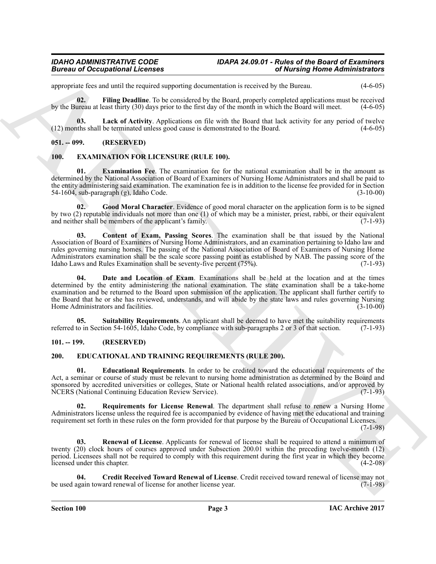## *Bureau of Occupational Licenses*

# *IDAHO ADMINISTRATIVE CODE IDAPA 24.09.01 - Rules of the Board of Examiners*

appropriate fees and until the required supporting documentation is received by the Bureau. (4-6-05)

<span id="page-2-4"></span>**02. Filing Deadline**. To be considered by the Board, properly completed applications must be received by the Bureau at least thirty (30) days prior to the first day of the month in which the Board will meet. (4-6-05)

<span id="page-2-5"></span>**03.** Lack of Activity. Applications on file with the Board that lack activity for any period of twelve this shall be terminated unless good cause is demonstrated to the Board. (4-6-05)  $(12)$  months shall be terminated unless good cause is demonstrated to the Board.

#### <span id="page-2-0"></span>**051. -- 099. (RESERVED)**

#### <span id="page-2-14"></span><span id="page-2-11"></span><span id="page-2-1"></span>**100. EXAMINATION FOR LICENSURE (RULE 100).**

**Examination Fee**. The examination fee for the national examination shall be in the amount as determined by the National Association of Board of Examiners of Nursing Home Administrators and shall be paid to the entity administering said examination. The examination fee is in addition to the license fee provided for in Section 54-1604, sub-paragraph (g), Idaho Code. (3-10-00)

<span id="page-2-15"></span>**02. Good Moral Character**. Evidence of good moral character on the application form is to be signed by two (2) reputable individuals not more than one (1) of which may be a minister, priest, rabbi, or their equivalent and neither shall be members of the applicant's family. and neither shall be members of the applicant's family.

<span id="page-2-13"></span><span id="page-2-12"></span>**03. Content of Exam, Passing Scores**. The examination shall be that issued by the National Association of Board of Examiners of Nursing Home Administrators, and an examination pertaining to Idaho law and rules governing nursing homes. The passing of the National Association of Board of Examiners of Nursing Home Administrators examination shall be the scale score passing point as established by NAB. The passing score of the Idaho Laws and Rules Examination shall be seventy-five percent (75%). Idaho Laws and Rules Examination shall be seventy-five percent (75%).

**Biomass of Occupations I Licenses**<br>
spinned by the square of the result of the result of the square of the square of the square of the square of the square of the square of the square of the square of the square of the s Date and Location of Exam. Examinations shall be held at the location and at the times determined by the entity administering the national examination. The state examination shall be a take-home examination and be returned to the Board upon submission of the application. The applicant shall further certify to the Board that he or she has reviewed, understands, and will abide by the state laws and rules governing Nursing<br>Home Administrators and facilities. (3-10-00) Home Administrators and facilities.

<span id="page-2-16"></span>**05.** Suitability Requirements. An applicant shall be deemed to have met the suitability requirements to in Section 54-1605. Idaho Code, by compliance with sub-paragraphs 2 or 3 of that section. (7-1-93) referred to in Section 54-1605, Idaho Code, by compliance with sub-paragraphs 2 or 3 of that section.

#### <span id="page-2-6"></span><span id="page-2-2"></span>**101. -- 199. (RESERVED)**

#### <span id="page-2-3"></span>**200. EDUCATIONAL AND TRAINING REQUIREMENTS (RULE 200).**

<span id="page-2-8"></span>**01. Educational Requirements**. In order to be credited toward the educational requirements of the Act, a seminar or course of study must be relevant to nursing home administration as determined by the Board and sponsored by accredited universities or colleges, State or National health related associations, and/or approved by<br>NCERS (National Continuing Education Review Service). (7-1-93) NCERS (National Continuing Education Review Service).

<span id="page-2-10"></span>**02. Requirements for License Renewal**. The department shall refuse to renew a Nursing Home Administrators license unless the required fee is accompanied by evidence of having met the educational and training requirement set forth in these rules on the form provided for that purpose by the Bureau of Occupational Licenses.

(7-1-98)

<span id="page-2-9"></span>**03. Renewal of License**. Applicants for renewal of license shall be required to attend a minimum of twenty (20) clock hours of courses approved under Subsection 200.01 within the preceding twelve-month (12) period. Licensees shall not be required to comply with this requirement during the first year in which they become licensed under this chapter. (4-2-08)

<span id="page-2-7"></span>**Credit Received Toward Renewal of License**. Credit received toward renewal of license may not ard renewal of license for another license year. (7-1-98) be used again toward renewal of license for another license year.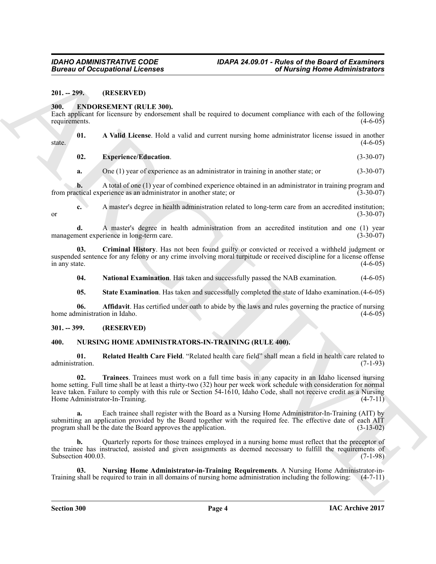<span id="page-3-0"></span>**201. -- 299. (RESERVED)**

#### <span id="page-3-4"></span><span id="page-3-1"></span>**300. ENDORSEMENT (RULE 300).**

Each applicant for licensure by endorsement shall be required to document compliance with each of the following requirements. (4-6-05) requirements.

**01. A Valid License**. Hold a valid and current nursing home administrator license issued in another  $\frac{1}{4-6-05}$  (4-6-05)

<span id="page-3-8"></span><span id="page-3-5"></span>**02. Experience/Education**. (3-30-07)

**a.** One (1) year of experience as an administrator in training in another state; or (3-30-07)

**b.** A total of one (1) year of combined experience obtained in an administrator in training program and ctical experience as an administrator in another state; or (3-30-07) from practical experience as an administrator in another state; or

**c.** A master's degree in health administration related to long-term care from an accredited institution; or  $(3-30-07)$ 

**d.** A master's degree in health administration from an accredited institution and one (1) year nent experience in long-term care. management experience in long-term care.

**03. Criminal History**. Has not been found guilty or convicted or received a withheld judgment or suspended sentence for any felony or any crime involving moral turpitude or received discipline for a license offense<br>in any state. (4-6-05) in any state.  $(4-6-05)$ 

<span id="page-3-9"></span><span id="page-3-7"></span>**04. National Examination**. Has taken and successfully passed the NAB examination. (4-6-05)

<span id="page-3-10"></span><span id="page-3-6"></span>**05.** State Examination. Has taken and successfully completed the state of Idaho examination.  $(4-6-05)$ 

**06. Affidavit**. Has certified under oath to abide by the laws and rules governing the practice of nursing ministration in Idaho. (4-6-05) home administration in Idaho.

#### <span id="page-3-2"></span>**301. -- 399. (RESERVED)**

#### <span id="page-3-11"></span><span id="page-3-3"></span>**400. NURSING HOME ADMINISTRATORS-IN-TRAINING (RULE 400).**

<span id="page-3-14"></span><span id="page-3-13"></span>**01. Related Health Care Field**. "Related health care field" shall mean a field in health care related to administration.

**EUCALITY CONSULTED ASSESSMENT CONTINUOUS CONTINUOUS CONTINUOUS CONTINUOUS CONTINUOUS CONTINUOUS CONTINUOUS CONTINUOUS CONTINUOUS CONTINUOUS CONTINUOUS CONTINUOUS CONTINUOUS CONTINUOUS CONTINUOUS CONTINUOUS CONTINUOUS CON 02. Trainees**. Trainees must work on a full time basis in any capacity in an Idaho licensed nursing home setting. Full time shall be at least a thirty-two (32) hour per week work schedule with consideration for normal leave taken. Failure to comply with this rule or Section 54-1610, Idaho Code, shall not receive credit as a Nursing Home Administrator-In-Training. (4-7-11)

**a.** Each trainee shall register with the Board as a Nursing Home Administrator-In-Training (AIT) by submitting an application provided by the Board together with the required fee. The effective date of each AIT program shall be the date the Board approves the application. (3-13-02)

**b.** Quarterly reports for those trainees employed in a nursing home must reflect that the preceptor of the trainee has instructed, assisted and given assignments as deemed necessary to fulfill the requirements of Subsection 400.03. (7-1-98) Subsection 400.03.

<span id="page-3-12"></span>**03.** Nursing Home Administrator-in-Training Requirements. A Nursing Home Administrator-in-<br>shall be required to train in all domains of nursing home administration including the following: (4-7-11) Training shall be required to train in all domains of nursing home administration including the following: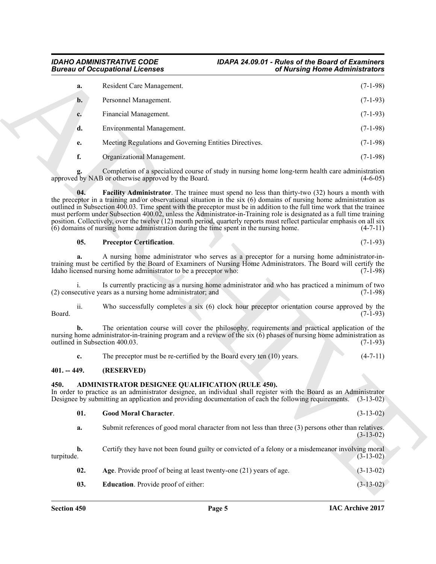## *Bureau of Occupational Licenses*

# *IDAHO ADMINISTRATIVE CODE IDAPA 24.09.01 - Rules of the Board of Examiners*

| a.             | Resident Care Management.                              | $(7-1-98)$ |
|----------------|--------------------------------------------------------|------------|
| $\mathbf{b}$ . | Personnel Management.                                  | $(7-1-93)$ |
| c.             | Financial Management.                                  | $(7-1-93)$ |
| d.             | Environmental Management.                              | $(7-1-98)$ |
| e.             | Meeting Regulations and Governing Entities Directives. | $(7-1-98)$ |
| f.             | Organizational Management.                             | $(7-1-98)$ |

#### <span id="page-4-7"></span><span id="page-4-6"></span>**05. Preceptor Certification**. (7-1-93)

#### <span id="page-4-0"></span>**401. -- 449. (RESERVED)**

#### <span id="page-4-5"></span><span id="page-4-4"></span><span id="page-4-3"></span><span id="page-4-2"></span><span id="page-4-1"></span>**450. ADMINISTRATOR DESIGNEE QUALIFICATION (RULE 450).**

| <b>Bureau of Occupational Licenses</b>                                                                                                                                                                                                                                                                 |                                                                                                                                                                                                                                                                                                                                                                                                                                                                                                                                                                                                                                                                                                          | of Nursing Home Administrators |  |  |
|--------------------------------------------------------------------------------------------------------------------------------------------------------------------------------------------------------------------------------------------------------------------------------------------------------|----------------------------------------------------------------------------------------------------------------------------------------------------------------------------------------------------------------------------------------------------------------------------------------------------------------------------------------------------------------------------------------------------------------------------------------------------------------------------------------------------------------------------------------------------------------------------------------------------------------------------------------------------------------------------------------------------------|--------------------------------|--|--|
| a.                                                                                                                                                                                                                                                                                                     | Resident Care Management.                                                                                                                                                                                                                                                                                                                                                                                                                                                                                                                                                                                                                                                                                | $(7-1-98)$                     |  |  |
| $\mathbf{b}$ .                                                                                                                                                                                                                                                                                         | Personnel Management.                                                                                                                                                                                                                                                                                                                                                                                                                                                                                                                                                                                                                                                                                    | $(7-1-93)$                     |  |  |
| c.                                                                                                                                                                                                                                                                                                     | Financial Management.                                                                                                                                                                                                                                                                                                                                                                                                                                                                                                                                                                                                                                                                                    | $(7-1-93)$                     |  |  |
| d.                                                                                                                                                                                                                                                                                                     | Environmental Management.                                                                                                                                                                                                                                                                                                                                                                                                                                                                                                                                                                                                                                                                                | $(7-1-98)$                     |  |  |
| e.                                                                                                                                                                                                                                                                                                     | Meeting Regulations and Governing Entities Directives.                                                                                                                                                                                                                                                                                                                                                                                                                                                                                                                                                                                                                                                   | $(7-1-98)$                     |  |  |
| f.                                                                                                                                                                                                                                                                                                     | Organizational Management.                                                                                                                                                                                                                                                                                                                                                                                                                                                                                                                                                                                                                                                                               | $(7-1-98)$                     |  |  |
|                                                                                                                                                                                                                                                                                                        | Completion of a specialized course of study in nursing home long-term health care administration<br>approved by NAB or otherwise approved by the Board.                                                                                                                                                                                                                                                                                                                                                                                                                                                                                                                                                  | $(4-6-05)$                     |  |  |
| 04.                                                                                                                                                                                                                                                                                                    | <b>Facility Administrator</b> . The trainee must spend no less than thirty-two (32) hours a month with<br>the preceptor in a training and/or observational situation in the six $(6)$ domains of nursing home administration as<br>outlined in Subsection 400.03. Time spent with the preceptor must be in addition to the full time work that the trainee<br>must perform under Subsection 400.02, unless the Administrator-in-Training role is designated as a full time training<br>position. Collectively, over the twelve (12) month period, quarterly reports must reflect particular emphasis on all six<br>(6) domains of nursing home administration during the time spent in the nursing home. | $(4-7-11)$                     |  |  |
| 05.                                                                                                                                                                                                                                                                                                    | <b>Preceptor Certification.</b>                                                                                                                                                                                                                                                                                                                                                                                                                                                                                                                                                                                                                                                                          | $(7-1-93)$                     |  |  |
| а.                                                                                                                                                                                                                                                                                                     | A nursing home administrator who serves as a preceptor for a nursing home administrator-in-<br>training must be certified by the Board of Examiners of Nursing Home Administrators. The Board will certify the<br>Idaho licensed nursing home administrator to be a preceptor who:                                                                                                                                                                                                                                                                                                                                                                                                                       | $(7-1-98)$                     |  |  |
|                                                                                                                                                                                                                                                                                                        | Is currently practicing as a nursing home administrator and who has practiced a minimum of two<br>(2) consecutive years as a nursing home administrator; and                                                                                                                                                                                                                                                                                                                                                                                                                                                                                                                                             | $(7-1-98)$                     |  |  |
| ii.<br>Board.                                                                                                                                                                                                                                                                                          | Who successfully completes a six $(6)$ clock hour preceptor orientation course approved by the                                                                                                                                                                                                                                                                                                                                                                                                                                                                                                                                                                                                           | $(7-1-93)$                     |  |  |
| The orientation course will cover the philosophy, requirements and practical application of the<br>b.<br>nursing home administrator-in-training program and a review of the six (6) phases of nursing home administration as<br>outlined in Subsection 400.03.<br>$(7-1-93)$                           |                                                                                                                                                                                                                                                                                                                                                                                                                                                                                                                                                                                                                                                                                                          |                                |  |  |
| c.                                                                                                                                                                                                                                                                                                     | The preceptor must be re-certified by the Board every ten $(10)$ years.                                                                                                                                                                                                                                                                                                                                                                                                                                                                                                                                                                                                                                  | $(4-7-11)$                     |  |  |
| $401. - 449.$                                                                                                                                                                                                                                                                                          | (RESERVED)                                                                                                                                                                                                                                                                                                                                                                                                                                                                                                                                                                                                                                                                                               |                                |  |  |
| ADMINISTRATOR DESIGNEE QUALIFICATION (RULE 450).<br>450.<br>In order to practice as an administrator designee, an individual shall register with the Board as an Administrator<br>Designee by submitting an application and providing documentation of each the following requirements.<br>$(3-13-02)$ |                                                                                                                                                                                                                                                                                                                                                                                                                                                                                                                                                                                                                                                                                                          |                                |  |  |
| 01.                                                                                                                                                                                                                                                                                                    | <b>Good Moral Character.</b>                                                                                                                                                                                                                                                                                                                                                                                                                                                                                                                                                                                                                                                                             | $(3-13-02)$                    |  |  |
| a.                                                                                                                                                                                                                                                                                                     | Submit references of good moral character from not less than three (3) persons other than relatives.                                                                                                                                                                                                                                                                                                                                                                                                                                                                                                                                                                                                     | $(3-13-02)$                    |  |  |
| b.<br>turpitude.                                                                                                                                                                                                                                                                                       | Certify they have not been found guilty or convicted of a felony or a misdemeanor involving moral                                                                                                                                                                                                                                                                                                                                                                                                                                                                                                                                                                                                        | $(3-13-02)$                    |  |  |
| 02.                                                                                                                                                                                                                                                                                                    | Age. Provide proof of being at least twenty-one (21) years of age.                                                                                                                                                                                                                                                                                                                                                                                                                                                                                                                                                                                                                                       | $(3-13-02)$                    |  |  |
|                                                                                                                                                                                                                                                                                                        |                                                                                                                                                                                                                                                                                                                                                                                                                                                                                                                                                                                                                                                                                                          |                                |  |  |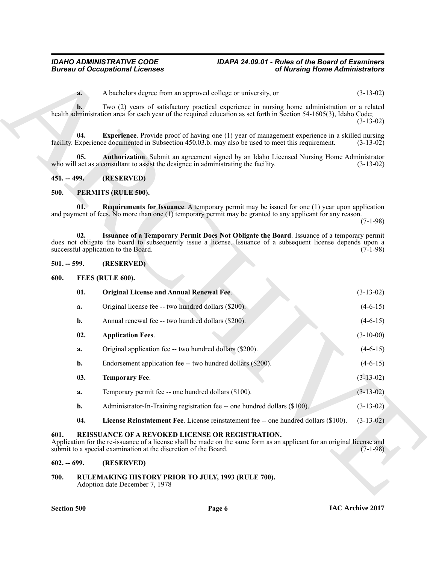#### <span id="page-5-8"></span><span id="page-5-7"></span><span id="page-5-0"></span>**451. -- 499. (RESERVED)**

#### <span id="page-5-16"></span><span id="page-5-14"></span><span id="page-5-1"></span>**500. PERMITS (RULE 500).**

#### <span id="page-5-15"></span><span id="page-5-12"></span><span id="page-5-10"></span><span id="page-5-9"></span><span id="page-5-3"></span><span id="page-5-2"></span>**501. -- 599. (RESERVED)**

|               | <b>Bureau of Occupational Licenses</b>                                                                                                                                                                                                             | of Nursing Home Administrators |             |
|---------------|----------------------------------------------------------------------------------------------------------------------------------------------------------------------------------------------------------------------------------------------------|--------------------------------|-------------|
| a.            | A bachelors degree from an approved college or university, or                                                                                                                                                                                      |                                | $(3-13-02)$ |
| b.            | Two (2) years of satisfactory practical experience in nursing home administration or a related<br>health administration area for each year of the required education as set forth in Section 54-1605(3), Idaho Code;                               |                                | $(3-13-02)$ |
| 04.           | <b>Experience</b> . Provide proof of having one (1) year of management experience in a skilled nursing<br>facility. Experience documented in Subsection 450.03.b. may also be used to meet this requirement.                                       |                                | $(3-13-02)$ |
| 05.           | Authorization. Submit an agreement signed by an Idaho Licensed Nursing Home Administrator<br>who will act as a consultant to assist the designee in administrating the facility.                                                                   |                                | $(3-13-02)$ |
| $451. - 499.$ | (RESERVED)                                                                                                                                                                                                                                         |                                |             |
| 500.          | PERMITS (RULE 500).                                                                                                                                                                                                                                |                                |             |
| 01.           | <b>Requirements for Issuance</b> . A temporary permit may be issued for one $(1)$ year upon application<br>and payment of fees. No more than one (1) temporary permit may be granted to any applicant for any reason.                              |                                | $(7-1-98)$  |
| 02.           | Issuance of a Temporary Permit Does Not Obligate the Board. Issuance of a temporary permit<br>does not obligate the board to subsequently issue a license. Issuance of a subsequent license depends upon a<br>successful application to the Board. |                                | $(7-1-98)$  |
| $501. - 599.$ | (RESERVED)                                                                                                                                                                                                                                         |                                |             |
| 600.          | FEES (RULE 600).                                                                                                                                                                                                                                   |                                |             |
| 01.           | <b>Original License and Annual Renewal Fee.</b>                                                                                                                                                                                                    |                                | $(3-13-02)$ |
| a.            | Original license fee -- two hundred dollars (\$200).                                                                                                                                                                                               |                                | $(4-6-15)$  |
| b.            | Annual renewal fee -- two hundred dollars (\$200).                                                                                                                                                                                                 |                                | $(4-6-15)$  |
| 02.           | <b>Application Fees.</b>                                                                                                                                                                                                                           |                                | $(3-10-00)$ |
| a.            | Original application fee -- two hundred dollars (\$200).                                                                                                                                                                                           |                                | $(4-6-15)$  |
| b.            | Endorsement application fee -- two hundred dollars (\$200).                                                                                                                                                                                        |                                | $(4-6-15)$  |
| 03.           | <b>Temporary Fee.</b>                                                                                                                                                                                                                              |                                | $(3-13-02)$ |
| a.            | Temporary permit fee -- one hundred dollars (\$100).                                                                                                                                                                                               |                                | $(3-13-02)$ |
| b.            | Administrator-In-Training registration fee -- one hundred dollars (\$100).                                                                                                                                                                         |                                | $(3-13-02)$ |
| 04.           | License Reinstatement Fee. License reinstatement fee -- one hundred dollars (\$100).                                                                                                                                                               |                                | $(3-13-02)$ |
| 601.          | REISSUANCE OF A REVOKED LICENSE OR REGISTRATION.<br>Application for the re-issuance of a license shall be made on the same form as an applicant for an original license and<br>submit to a special examination at the discretion of the Board.     |                                | $(7-1-98)$  |
| $602. - 699.$ | (RESERVED)                                                                                                                                                                                                                                         |                                |             |
| 700.          | RULEMAKING HISTORY PRIOR TO JULY, 1993 (RULE 700).                                                                                                                                                                                                 |                                |             |

#### <span id="page-5-17"></span><span id="page-5-13"></span><span id="page-5-11"></span><span id="page-5-6"></span><span id="page-5-5"></span><span id="page-5-4"></span>**602. -- 699. (RESERVED)**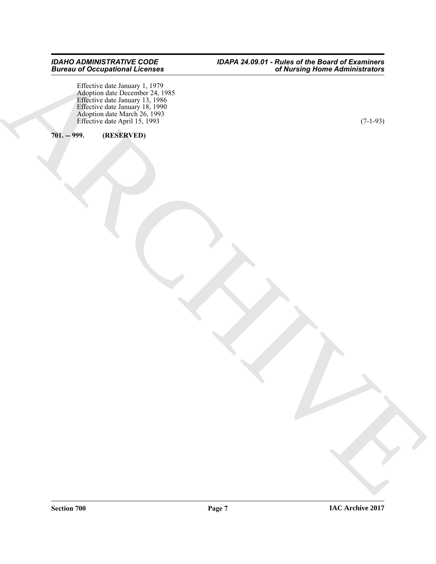ARCHIVES Effective date January 1, 1979 Adoption date December 24, 1985 Effective date January 13, 1986 Effective date January 18, 1990 Adoption date March 26, 1993 Effective date April 15, 1993  $(7-1-93)$ 

#### <span id="page-6-0"></span>**701. -- 999. (RESERVED)**